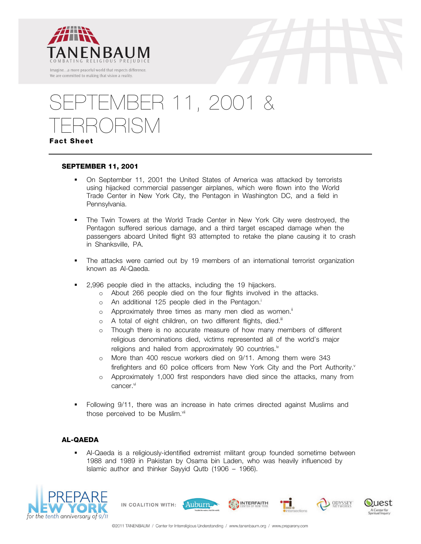



# BER 11, 2001 & TERRORISM Fact Sheet

### SEPTEMBER 11, 2001

- On September 11, 2001 the United States of America was attacked by terrorists using hijacked commercial passenger airplanes, which were flown into the World Trade Center in New York City, the Pentagon in Washington DC, and a field in Pennsylvania.
- The Twin Towers at the World Trade Center in New York City were destroyed, the Pentagon suffered serious damage, and a third target escaped damage when the passengers aboard United flight 93 attempted to retake the plane causing it to crash in Shanksville, PA.
- The attacks were carried out by 19 members of an international terrorist organization known as Al-Qaeda.
- 2,996 people died in the attacks, including the 19 hijackers.
	- o About 266 people died on the four flights involved in the attacks.
	- o An additional 125 people died in the Pentagon.<sup>i</sup>
	- o Approximately three times as many men died as women.<sup>ii</sup>
	- $\circ$  A total of eight children, on two different flights, died.<sup>iii</sup>
	- o Though there is no accurate measure of how many members of different religious denominations died, victims represented all of the world's major religions and hailed from approximately 90 countries.<sup>iv</sup>
	- o More than 400 rescue workers died on 9/11. Among them were 343 firefighters and 60 police officers from New York City and the Port Authority.<sup>v</sup>
	- o Approximately 1,000 first responders have died since the attacks, many from cancer.<sup>vi</sup>
- Following 9/11, there was an increase in hate crimes directed against Muslims and those perceived to be Muslim.<sup>vii</sup>

## AL-QAEDA

 Al-Qaeda is a religiously-identified extremist militant group founded sometime between 1988 and 1989 in Pakistan by Osama bin Laden, who was heavily influenced by Islamic author and thinker Sayyid Qutb (1906 – 1966).



IN COALITION WITH:





Auburn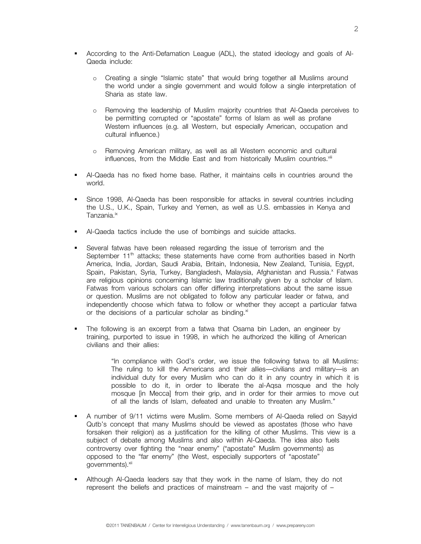- According to the Anti-Defamation League (ADL), the stated ideology and goals of Al-Qaeda include:
	- o Creating a single "Islamic state" that would bring together all Muslims around the world under a single government and would follow a single interpretation of Sharia as state law.
	- o Removing the leadership of Muslim majority countries that Al-Qaeda perceives to be permitting corrupted or "apostate" forms of Islam as well as profane Western influences (e.g. all Western, but especially American, occupation and cultural influence.)
	- o Removing American military, as well as all Western economic and cultural influences, from the Middle East and from historically Muslim countries.<sup>viii</sup>
- Al-Qaeda has no fixed home base. Rather, it maintains cells in countries around the world.
- Since 1998, Al-Qaeda has been responsible for attacks in several countries including the U.S., U.K., Spain, Turkey and Yemen, as well as U.S. embassies in Kenya and Tanzania.<sup>ix</sup>
- Al-Qaeda tactics include the use of bombings and suicide attacks.
- Several fatwas have been released regarding the issue of terrorism and the September  $11<sup>th</sup>$  attacks; these statements have come from authorities based in North America, India, Jordan, Saudi Arabia, Britain, Indonesia, New Zealand, Tunisia, Egypt, Spain, Pakistan, Syria, Turkey, Bangladesh, Malaysia, Afghanistan and Russia.<sup>x</sup> Fatwas are religious opinions concerning Islamic law traditionally given by a scholar of Islam. Fatwas from various scholars can offer differing interpretations about the same issue or question. Muslims are not obligated to follow any particular leader or fatwa, and independently choose which fatwa to follow or whether they accept a particular fatwa or the decisions of a particular scholar as binding.<sup>xi</sup>
- The following is an excerpt from a fatwa that Osama bin Laden, an engineer by training, purported to issue in 1998, in which he authorized the killing of American civilians and their allies:

"In compliance with God's order, we issue the following fatwa to all Muslims: The ruling to kill the Americans and their allies—civilians and military—is an individual duty for every Muslim who can do it in any country in which it is possible to do it, in order to liberate the al-Aqsa mosque and the holy mosque [in Mecca] from their grip, and in order for their armies to move out of all the lands of Islam, defeated and unable to threaten any Muslim."

- A number of 9/11 victims were Muslim. Some members of Al-Qaeda relied on Sayyid Qutb's concept that many Muslims should be viewed as apostates (those who have forsaken their religion) as a justification for the killing of other Muslims. This view is a subject of debate among Muslims and also within Al-Qaeda. The idea also fuels controversy over fighting the "near enemy" ("apostate" Muslim governments) as opposed to the "far enemy" (the West, especially supporters of "apostate" governments).<sup>xii</sup>
- Although Al-Qaeda leaders say that they work in the name of Islam, they do not represent the beliefs and practices of mainstream – and the vast majority of –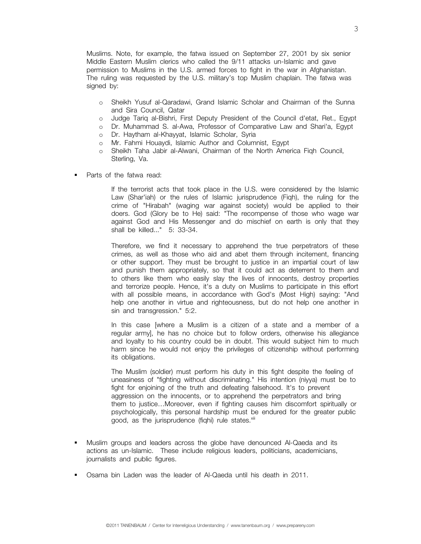Muslims. Note, for example, the fatwa issued on September 27, 2001 by six senior Middle Eastern Muslim clerics who called the 9/11 attacks un-Islamic and gave permission to Muslims in the U.S. armed forces to fight in the war in Afghanistan. The ruling was requested by the U.S. military's top Muslim chaplain. The fatwa was signed by:

- o Sheikh Yusuf al-Qaradawi, Grand Islamic Scholar and Chairman of the Sunna and Sira Council, Qatar
- o Judge Tariq al-Bishri, First Deputy President of the Council d'etat, Ret., Egypt
- o Dr. Muhammad S. al-Awa, Professor of Comparative Law and Shari'a, Egypt
- o Dr. Haytham al-Khayyat, Islamic Scholar, Syria
- o Mr. Fahmi Houaydi, Islamic Author and Columnist, Egypt
- o Sheikh Taha Jabir al-Alwani, Chairman of the North America Fiqh Council, Sterling, Va.
- Parts of the fatwa read:

If the terrorist acts that took place in the U.S. were considered by the Islamic Law (Shar'iah) or the rules of Islamic jurisprudence (Figh), the ruling for the crime of "Hirabah" (waging war against society) would be applied to their doers. God (Glory be to He) said: "The recompense of those who wage war against God and His Messenger and do mischief on earth is only that they shall be killed..." 5: 33-34.

Therefore, we find it necessary to apprehend the true perpetrators of these crimes, as well as those who aid and abet them through incitement, financing or other support. They must be brought to justice in an impartial court of law and punish them appropriately, so that it could act as deterrent to them and to others like them who easily slay the lives of innocents, destroy properties and terrorize people. Hence, it's a duty on Muslims to participate in this effort with all possible means, in accordance with God's (Most High) saying: "And help one another in virtue and righteousness, but do not help one another in sin and transgression." 5:2.

In this case [where a Muslim is a citizen of a state and a member of a regular army], he has no choice but to follow orders, otherwise his allegiance and loyalty to his country could be in doubt. This would subject him to much harm since he would not enjoy the privileges of citizenship without performing its obligations.

The Muslim (soldier) must perform his duty in this fight despite the feeling of uneasiness of "fighting without discriminating." His intention (niyya) must be to fight for enjoining of the truth and defeating falsehood. It's to prevent aggression on the innocents, or to apprehend the perpetrators and bring them to justice…Moreover, even if fighting causes him discomfort spiritually or psychologically, this personal hardship must be endured for the greater public good, as the jurisprudence (fighi) rule states. Xiii

- Muslim groups and leaders across the globe have denounced Al-Qaeda and its actions as un-Islamic. These include religious leaders, politicians, academicians, journalists and public figures.
- Osama bin Laden was the leader of Al-Qaeda until his death in 2011.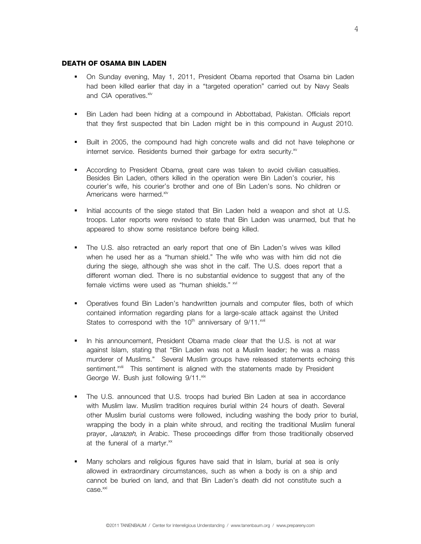#### DEATH OF OSAMA BIN LADEN

- On Sunday evening, May 1, 2011, President Obama reported that Osama bin Laden had been killed earlier that day in a "targeted operation" carried out by Navy Seals and CIA operatives.<sup>xiv</sup>
- Bin Laden had been hiding at a compound in Abbottabad, Pakistan. Officials report that they first suspected that bin Laden might be in this compound in August 2010.
- Built in 2005, the compound had high concrete walls and did not have telephone or internet service. Residents burned their garbage for extra security.<sup>xv</sup>
- According to President Obama, great care was taken to avoid civilian casualties. Besides Bin Laden, others killed in the operation were Bin Laden's courier, his courier's wife, his courier's brother and one of Bin Laden's sons. No children or Americans were harmed.<sup>xiv</sup>
- Initial accounts of the siege stated that Bin Laden held a weapon and shot at U.S. troops. Later reports were revised to state that Bin Laden was unarmed, but that he appeared to show some resistance before being killed.
- The U.S. also retracted an early report that one of Bin Laden's wives was killed when he used her as a "human shield." The wife who was with him did not die during the siege, although she was shot in the calf. The U.S. does report that a different woman died. There is no substantial evidence to suggest that any of the female victims were used as "human shields." xvi
- Operatives found Bin Laden's handwritten journals and computer files, both of which contained information regarding plans for a large-scale attack against the United States to correspond with the  $10<sup>th</sup>$  anniversary of  $9/11.^{x\vee i}$
- In his announcement, President Obama made clear that the U.S. is not at war against Islam, stating that "Bin Laden was not a Muslim leader; he was a mass murderer of Muslims." Several Muslim groups have released statements echoing this sentiment.<sup>xviii</sup> This sentiment is aligned with the statements made by President George W. Bush just following 9/11.<sup>xix</sup>
- The U.S. announced that U.S. troops had buried Bin Laden at sea in accordance with Muslim law. Muslim tradition requires burial within 24 hours of death. Several other Muslim burial customs were followed, including washing the body prior to burial, wrapping the body in a plain white shroud, and reciting the traditional Muslim funeral prayer, Janazeh, in Arabic. These proceedings differ from those traditionally observed at the funeral of a martyr. $\frac{x}{x}$
- Many scholars and religious figures have said that in Islam, burial at sea is only allowed in extraordinary circumstances, such as when a body is on a ship and cannot be buried on land, and that Bin Laden's death did not constitute such a case.<sup>xxi</sup>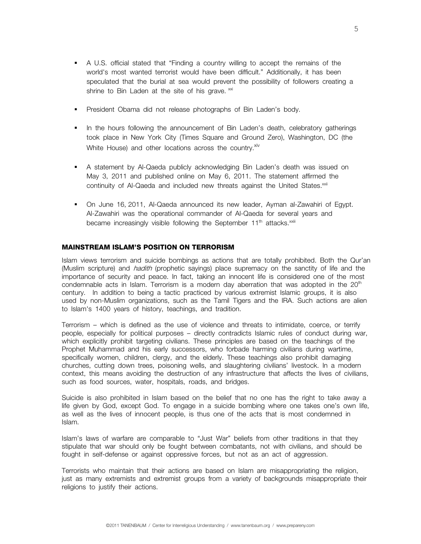- A U.S. official stated that "Finding a country willing to accept the remains of the world's most wanted terrorist would have been difficult." Additionally, it has been speculated that the burial at sea would prevent the possibility of followers creating a shrine to Bin Laden at the site of his grave. <sup>xxi</sup>
- **President Obama did not release photographs of Bin Laden's body.**
- **In the hours following the announcement of Bin Laden's death, celebratory gatherings** took place in New York City (Times Square and Ground Zero), Washington, DC (the White House) and other locations across the country.<sup>xiv</sup>
- A statement by Al-Qaeda publicly acknowledging Bin Laden's death was issued on May 3, 2011 and published online on May 6, 2011. The statement affirmed the continuity of Al-Qaeda and included new threats against the United States.<sup>xxii</sup>
- On June 16, 2011, Al-Qaeda announced its new leader, Ayman al-Zawahiri of Egypt. Al-Zawahiri was the operational commander of Al-Qaeda for several years and became increasingly visible following the September 11<sup>th</sup> attacks.<sup>xxiii</sup>

#### MAINSTREAM ISLAM'S POSITION ON TERRORISM

Islam views terrorism and suicide bombings as actions that are totally prohibited. Both the Qur'an (Muslim scripture) and *hadith* (prophetic sayings) place supremacy on the sanctity of life and the importance of security and peace. In fact, taking an innocent life is considered one of the most condemnable acts in Islam. Terrorism is a modern day aberration that was adopted in the  $20<sup>th</sup>$ century. In addition to being a tactic practiced by various extremist Islamic groups, it is also used by non-Muslim organizations, such as the Tamil Tigers and the IRA. Such actions are alien to Islam's 1400 years of history, teachings, and tradition.

Terrorism – which is defined as the use of violence and threats to intimidate, coerce, or terrify people, especially for political purposes – directly contradicts Islamic rules of conduct during war, which explicitly prohibit targeting civilians. These principles are based on the teachings of the Prophet Muhammad and his early successors, who forbade harming civilians during wartime, specifically women, children, clergy, and the elderly. These teachings also prohibit damaging churches, cutting down trees, poisoning wells, and slaughtering civilians' livestock. In a modern context, this means avoiding the destruction of any infrastructure that affects the lives of civilians, such as food sources, water, hospitals, roads, and bridges.

Suicide is also prohibited in Islam based on the belief that no one has the right to take away a life given by God, except God. To engage in a suicide bombing where one takes one's own life, as well as the lives of innocent people, is thus one of the acts that is most condemned in Islam.

Islam's laws of warfare are comparable to "Just War" beliefs from other traditions in that they stipulate that war should only be fought between combatants, not with civilians, and should be fought in self-defense or against oppressive forces, but not as an act of aggression.

Terrorists who maintain that their actions are based on Islam are misappropriating the religion, just as many extremists and extremist groups from a variety of backgrounds misappropriate their religions to justify their actions.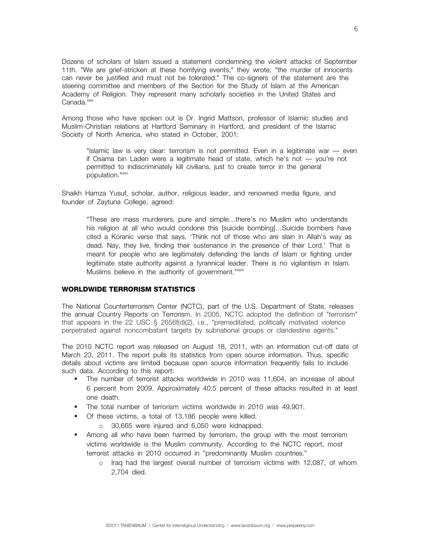Dozens of scholars of Islam issued a statement condemning the violent attacks of September 11th. "We are grief-stricken at these horrifying events," they wrote; "the murder of innocents can never be justified and must not be tolerated." The co-signers of the statement are the steering committee and members of the Section for the Study of Islam at the American Academy of Religion. They represent many scholarly societies in the United States and Canada.<sup>xxiv</sup>

Among those who have spoken out is Dr. Ingrid Mattson, professor of Islamic studies and Muslim-Christian relations at Hartford Seminary in Hartford, and president of the Islamic Society of North America, who stated in October, 2001:

"Islamic law is very clear: terrorism is not permitted. Even in a legitimate war — even if Osama bin Laden were a legitimate head of state, which he's not — you're not permitted to indiscriminately kill civilians, just to create terror in the general population."<sup>xxv</sup>

Shaikh Hamza Yusuf, scholar, author, religious leader, and renowned media figure, and founder of Zaytuna College, agreed:

"These are mass murderers, pure and simple…there's no Muslim who understands his religion at all who would condone this [suicide bombing]…Suicide bombers have cited a Koranic verse that says, 'Think not of those who are slain in Allah's way as dead. Nay, they live, finding their sustenance in the presence of their Lord.' That is meant for people who are legitimately defending the lands of Islam or fighting under legitimate state authority against a tyrannical leader. There is no vigilantism in Islam. Muslims believe in the authority of government."<sup>xxvi</sup>

#### WORLDWIDE TERRORISM STATISTICS

The National Counterterrorism Center (NCTC), part of the U.S. Department of State, releases the annual Country Reports on Terrorism. In 2005, NCTC adopted the definition of "terrorism" that appears in the 22 USC § 2656f(d)(2), i.e., "premeditated, politically motivated violence perpetrated against noncombatant targets by subnational groups or clandestine agents."

The 2010 NCTC report was released on August 18, 2011, with an information cut-off date of March 23, 2011. The report pulls its statistics from open source information. Thus, specific details about victims are limited because open source information frequently fails to include such data. According to this report:

- The number of terrorist attacks worldwide in 2010 was 11,604, an increase of about 6 percent from 2009. Approximately 40.5 percent of these attacks resulted in at least one death.
- The total number of terrorism victims worldwide in 2010 was 49,901.
- Of these victims, a total of 13,186 people were killed.
	- o 30,665 were injured and 6,050 were kidnapped.
- Among all who have been harmed by terrorism, the group with the most terrorism victims worldwide is the Muslim community. According to the NCTC report, most terrorist attacks in 2010 occurred in "predominantly Muslim countries."
	- o Iraq had the largest overall number of terrorism victims with 12,087, of whom 2,704 died.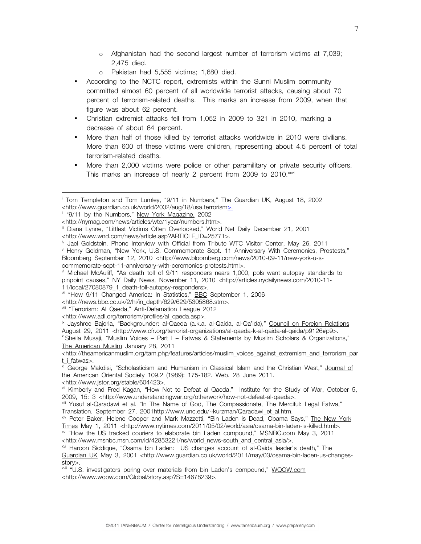- o Afghanistan had the second largest number of terrorism victims at 7,039; 2,475 died.
- o Pakistan had 5,555 victims; 1,680 died.
- According to the NCTC report, extremists within the Sunni Muslim community committed almost 60 percent of all worldwide terrorist attacks, causing about 70 percent of terrorism-related deaths. This marks an increase from 2009, when that figure was about 62 percent.
- Christian extremist attacks fell from 1,052 in 2009 to 321 in 2010, marking a decrease of about 64 percent.
- More than half of those killed by terrorist attacks worldwide in 2010 were civilians. More than 600 of these victims were children, representing about 4.5 percent of total terrorism-related deaths.
- More than 2,000 victims were police or other paramilitary or private security officers. This marks an increase of nearly 2 percent from 2009 to 2010.<sup>xxvii</sup>

e<br>S

<http://www.jstor.org/stable/604423>.

i <sup>i</sup> Tom Templeton and Tom Lumley, "9/11 in Numbers," The Guardian UK, August 18, 2002 <http://www.guardian.co.uk/world/2002/aug/18/usa.terrorism>.

ii "9/11 by the Numbers," New York Magazine, 2002

<sup>&</sup>lt;http://nymag.com/news/articles/wtc/1year/numbers.htm>.

iii Diana Lynne, "Littlest Victims Often Overlooked," World Net Daily December 21, 2001

<sup>&</sup>lt;http://www.wnd.com/news/article.asp?ARTICLE\_ID=25771>.

iv Jael Goldstein. Phone Interview with Official from Tribute WTC Visitor Center, May 26, 2011 v Henry Goldman, "New York, U.S. Commemorate Sept. 11 Anniversary With Ceremonies, Prostests," Bloomberg\_September 12, 2010 <http://www.bloomberg.com/news/2010-09-11/new-york-u-scommemorate-sept-11-anniversary-with-ceremonies-protests.html>.

 $\rm v^i$  Michael McAuliff, "As death toll of 9/11 responders nears 1,000, pols want autopsy standards to pinpoint causes," NY Daily News, November 11, 2010 <http://articles.nydailynews.com/2010-11-11/local/27080879\_1\_death-toll-autopsy-responders>.

vii "How 9/11 Changed America: In Statistics," **BBC** September 1, 2006

<sup>&</sup>lt;http://news.bbc.co.uk/2/hi/in\_depth/629/629/5305868.stm>.

viii "Terrorism: Al Qaeda," Anti-Defamation League 2012

<sup>&</sup>lt;http://www.adl.org/terrorism/profiles/al\_qaeda.asp>.

<sup>&</sup>lt;sup>ix</sup> Jayshree Bajoria, "Backgrounder: al-Qaeda (a.k.a. al-Qaida, al-Qa'ida)," Council on Foreign Relations August 29, 2011 <http://www.cfr.org/terrorist-organizations/al-qaeda-k-al-qaida-al-qaida/p9126#p9>.

x Sheila Musaji, "Muslim Voices – Part I – Fatwas & Statements by Muslim Scholars & Organizations," The American Muslim January 28, 2011

<sup>≤</sup>http://theamericanmuslim.org/tam.php/features/articles/muslim\_voices\_against\_extremism\_and\_terrorism\_par t i fatwas>.

xi George Makdisi, "Scholasticism and Humanism in Classical Islam and the Christian West," Journal of the American Oriental Society 109.2 (1989): 175-182. Web. 28 June 2011.

xii Kimberly and Fred Kagan, "How Not to Defeat al Qaeda," Institute for the Study of War, October 5, 2009, 15: 3 <http://www.understandingwar.org/otherwork/how-not-defeat-al-qaeda>.

xiii Yusuf al-Qaradawi et al. "In The Name of God, The Compassionate, The Merciful: Legal Fatwa," Translation. September 27, 2001http://www.unc.edu/~kurzman/Qaradawi\_et\_al.htm.

xiv Peter Baker, Helene Cooper and Mark Mazzetti, "Bin Laden is Dead, Obama Says," The New York Times May 1, 2011 <http://www.nytimes.com/2011/05/02/world/asia/osama-bin-laden-is-killed.html>.

xv "How the US tracked couriers to elaborate bin Laden compound," MSNBC.com May 3, 2011 <http://www.msnbc.msn.com/id/42853221/ns/world\_news-south\_and\_central\_asia/>.

xvi Haroon Siddique, "Osama bin Laden: US changes account of al-Qaida leader's death," The Guardian UK May 3, 2001 <http://www.guardian.co.uk/world/2011/may/03/osama-bin-laden-us-changesstory>.

xvii "U.S. investigators poring over materials from bin Laden's compound," WQOW.com <http://www.wqow.com/Global/story.asp?S=14678239>.